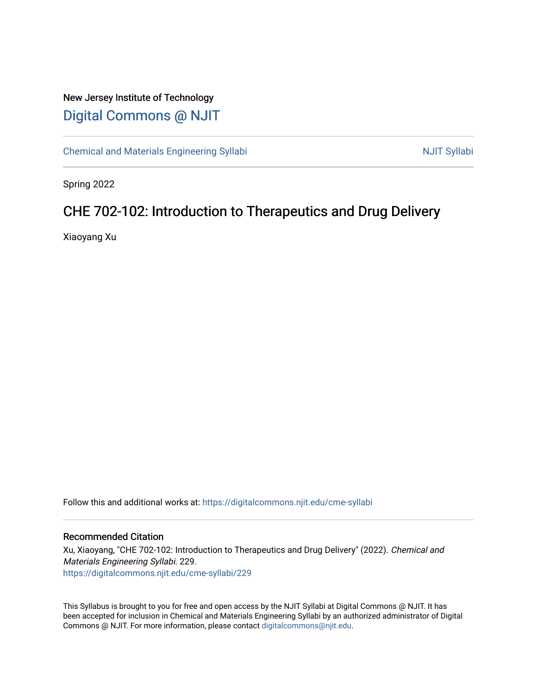## New Jersey Institute of Technology [Digital Commons @ NJIT](https://digitalcommons.njit.edu/)

[Chemical and Materials Engineering Syllabi](https://digitalcommons.njit.edu/cme-syllabi) Nulle and Syllabi Nulle Syllabi Nulle Syllabi Nulle Syllabi Nulle Syllabi

Spring 2022

# CHE 702-102: Introduction to Therapeutics and Drug Delivery

Xiaoyang Xu

Follow this and additional works at: [https://digitalcommons.njit.edu/cme-syllabi](https://digitalcommons.njit.edu/cme-syllabi?utm_source=digitalcommons.njit.edu%2Fcme-syllabi%2F229&utm_medium=PDF&utm_campaign=PDFCoverPages) 

#### Recommended Citation

Xu, Xiaoyang, "CHE 702-102: Introduction to Therapeutics and Drug Delivery" (2022). Chemical and Materials Engineering Syllabi. 229. [https://digitalcommons.njit.edu/cme-syllabi/229](https://digitalcommons.njit.edu/cme-syllabi/229?utm_source=digitalcommons.njit.edu%2Fcme-syllabi%2F229&utm_medium=PDF&utm_campaign=PDFCoverPages) 

This Syllabus is brought to you for free and open access by the NJIT Syllabi at Digital Commons @ NJIT. It has been accepted for inclusion in Chemical and Materials Engineering Syllabi by an authorized administrator of Digital Commons @ NJIT. For more information, please contact [digitalcommons@njit.edu.](mailto:digitalcommons@njit.edu)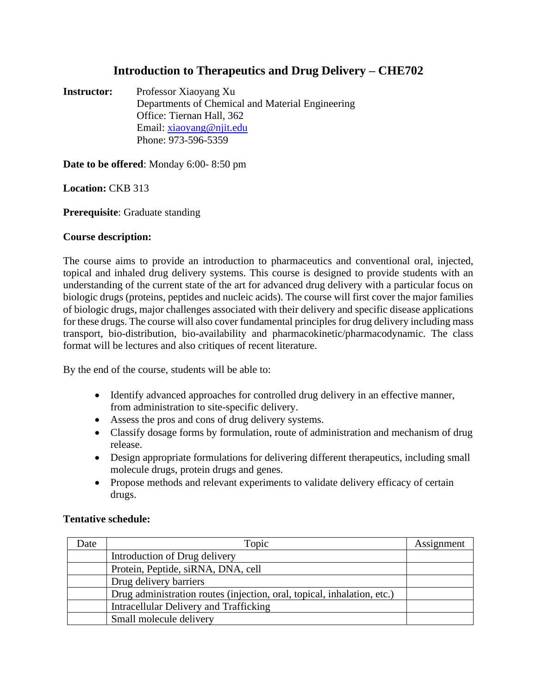### **Introduction to Therapeutics and Drug Delivery – CHE702**

**Instructor:** Professor Xiaoyang Xu Departments of Chemical and Material Engineering Office: Tiernan Hall, 362 Email: [xiaoyang@njit.edu](mailto:xiaoyang@njit.edu) Phone: 973-596-5359

**Date to be offered**: Monday 6:00- 8:50 pm

**Location:** CKB 313

**Prerequisite**: Graduate standing

#### **Course description:**

The course aims to provide an introduction to pharmaceutics and conventional oral, injected, topical and inhaled drug delivery systems. This course is designed to provide students with an understanding of the current state of the art for advanced drug delivery with a particular focus on biologic drugs (proteins, peptides and nucleic acids). The course will first cover the major families of biologic drugs, major challenges associated with their delivery and specific disease applications for these drugs. The course will also cover fundamental principles for drug delivery including mass transport, bio-distribution, bio-availability and pharmacokinetic/pharmacodynamic. The class format will be lectures and also critiques of recent literature.

By the end of the course, students will be able to:

- Identify advanced approaches for controlled drug delivery in an effective manner, from administration to site-specific delivery.
- Assess the pros and cons of drug delivery systems.
- Classify dosage forms by formulation, route of administration and mechanism of drug release.
- Design appropriate formulations for delivering different therapeutics, including small molecule drugs, protein drugs and genes.
- Propose methods and relevant experiments to validate delivery efficacy of certain drugs.

### **Tentative schedule:**

| Date | Topic                                                                   | Assignment |
|------|-------------------------------------------------------------------------|------------|
|      | Introduction of Drug delivery                                           |            |
|      | Protein, Peptide, siRNA, DNA, cell                                      |            |
|      | Drug delivery barriers                                                  |            |
|      | Drug administration routes (injection, oral, topical, inhalation, etc.) |            |
|      | Intracellular Delivery and Trafficking                                  |            |
|      | Small molecule delivery                                                 |            |